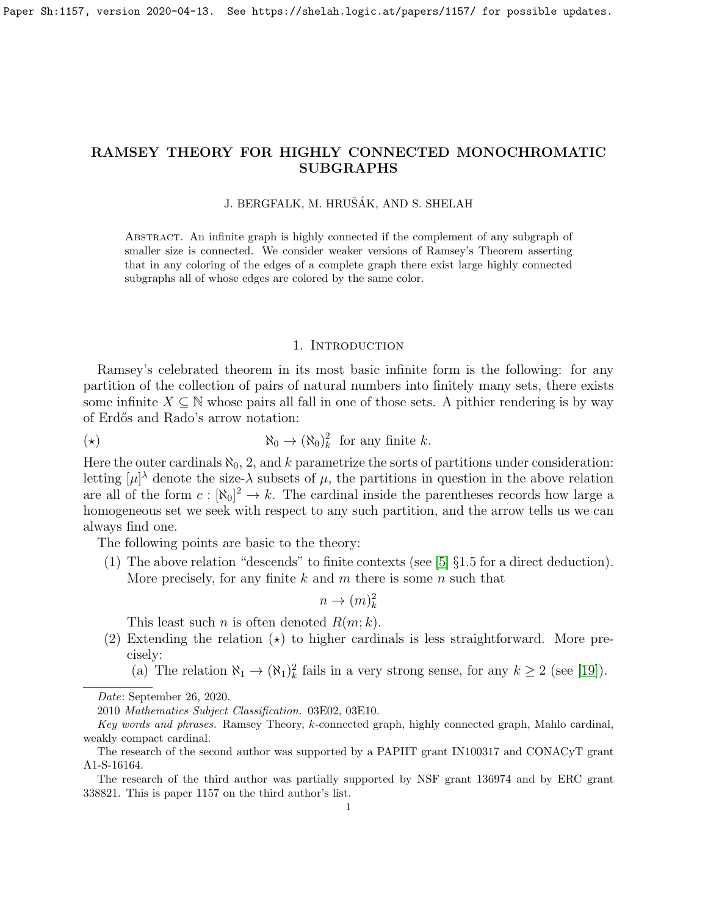# RAMSEY THEORY FOR HIGHLY CONNECTED MONOCHROMATIC SUBGRAPHS

### J. BERGFALK, M. HRUŠÁK, AND S. SHELAH

Abstract. An infinite graph is highly connected if the complement of any subgraph of smaller size is connected. We consider weaker versions of Ramsey's Theorem asserting that in any coloring of the edges of a complete graph there exist large highly connected subgraphs all of whose edges are colored by the same color.

### 1. INTRODUCTION

Ramsey's celebrated theorem in its most basic infinite form is the following: for any partition of the collection of pairs of natural numbers into finitely many sets, there exists some infinite  $X \subseteq \mathbb{N}$  whose pairs all fall in one of those sets. A pithier rendering is by way of Erd˝os and Rado's arrow notation:

$$
(\star) \qquad \qquad \aleph_0 \to (\aleph_0)_k^2 \text{ for any finite } k.
$$

Here the outer cardinals  $\aleph_0$ , 2, and k parametrize the sorts of partitions under consideration: letting  $[\mu]^{\lambda}$  denote the size- $\lambda$  subsets of  $\mu$ , the partitions in question in the above relation are all of the form  $c : [\aleph_0]^2 \to k$ . The cardinal inside the parentheses records how large a homogeneous set we seek with respect to any such partition, and the arrow tells us we can always find one.

The following points are basic to the theory:

(1) The above relation "descends" to finite contexts (see  $[5]$   $\S1.5$  for a direct deduction). More precisely, for any finite  $k$  and  $m$  there is some  $n$  such that

$$
n \to (m)_k^2
$$

This least such *n* is often denoted  $R(m; k)$ .

- (2) Extending the relation  $\star$ ) to higher cardinals is less straightforward. More precisely:
	- (a) The relation  $\aleph_1 \to (\aleph_1)_k^2$  fails in a very strong sense, for any  $k \geq 2$  (see [\[19\]](#page-11-0)).

Date: September 26, 2020.

<sup>2010</sup> Mathematics Subject Classification. 03E02, 03E10.

Key words and phrases. Ramsey Theory, k-connected graph, highly connected graph, Mahlo cardinal, weakly compact cardinal.

The research of the second author was supported by a PAPIIT grant IN100317 and CONACyT grant A1-S-16164.

The research of the third author was partially supported by NSF grant 136974 and by ERC grant 338821. This is paper 1157 on the third author's list.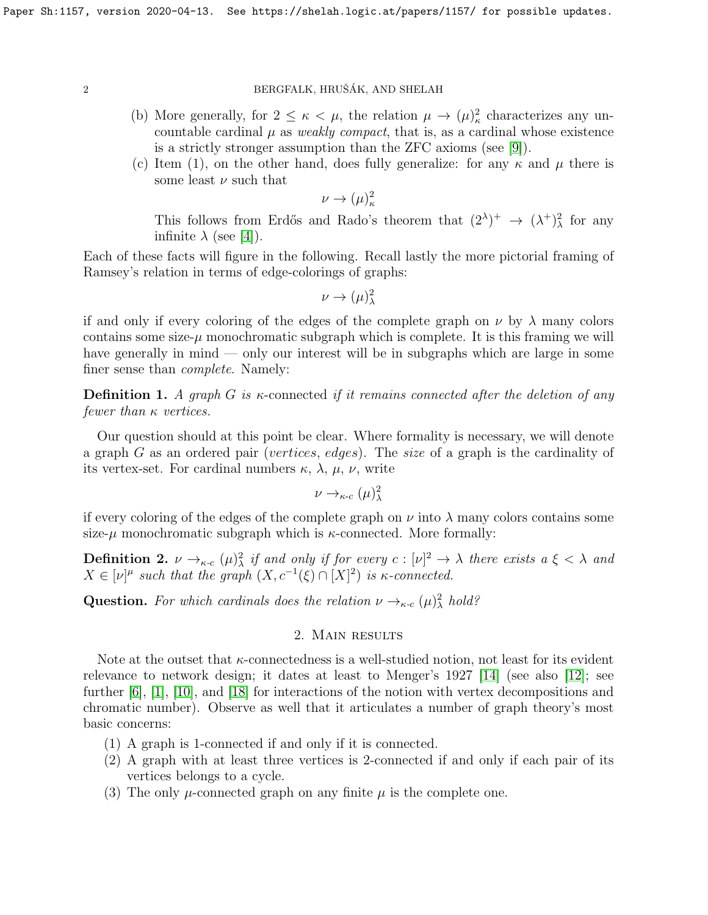- (b) More generally, for  $2 \leq \kappa < \mu$ , the relation  $\mu \to (\mu)_\kappa^2$  characterizes any uncountable cardinal  $\mu$  as *weakly compact*, that is, as a cardinal whose existence is a strictly stronger assumption than the ZFC axioms (see [\[9\]](#page-10-1)).
- (c) Item (1), on the other hand, does fully generalize: for any  $\kappa$  and  $\mu$  there is some least  $\nu$  such that

 $\nu \rightarrow (\mu)^2_{\kappa}$ 

This follows from Erdős and Rado's theorem that  $(2^{\lambda})^{+} \rightarrow (\lambda^{+})^{2}_{\lambda}$  for any infinite  $\lambda$  (see [\[4\]](#page-10-2)).

Each of these facts will figure in the following. Recall lastly the more pictorial framing of Ramsey's relation in terms of edge-colorings of graphs:

$$
\nu \to (\mu)^2_\lambda
$$

if and only if every coloring of the edges of the complete graph on  $\nu$  by  $\lambda$  many colors contains some size- $\mu$  monochromatic subgraph which is complete. It is this framing we will have generally in mind — only our interest will be in subgraphs which are large in some finer sense than complete. Namely:

**Definition 1.** A graph G is  $\kappa$ -connected if it remains connected after the deletion of any fewer than  $\kappa$  vertices.

Our question should at this point be clear. Where formality is necessary, we will denote a graph G as an ordered pair (vertices, edges). The size of a graph is the cardinality of its vertex-set. For cardinal numbers  $\kappa$ ,  $\lambda$ ,  $\mu$ ,  $\nu$ , write

$$
\nu \to_{\kappa \text{-} c} (\mu)^2_\lambda
$$

if every coloring of the edges of the complete graph on  $\nu$  into  $\lambda$  many colors contains some size- $\mu$  monochromatic subgraph which is  $\kappa$ -connected. More formally:

**Definition 2.**  $\nu \rightarrow_{\kappa} ( \mu )^2_\lambda$  if and only if for every  $c : [\nu]^2 \rightarrow \lambda$  there exists  $a \xi < \lambda$  and  $X \in [\nu]^{\mu}$  such that the graph  $(X, c^{-1}(\xi) \cap [X]^2)$  is  $\kappa$ -connected.

**Question.** For which cardinals does the relation  $\nu \rightarrow_{\kappa} ( \mu )^2_\lambda$  hold?

# 2. Main results

Note at the outset that κ-connectedness is a well-studied notion, not least for its evident relevance to network design; it dates at least to Menger's 1927 [\[14\]](#page-11-1) (see also [\[12\]](#page-10-3); see further [\[6\]](#page-10-4), [\[1\]](#page-10-5), [\[10\]](#page-10-6), and [\[18\]](#page-11-2) for interactions of the notion with vertex decompositions and chromatic number). Observe as well that it articulates a number of graph theory's most basic concerns:

- (1) A graph is 1-connected if and only if it is connected.
- (2) A graph with at least three vertices is 2-connected if and only if each pair of its vertices belongs to a cycle.
- (3) The only  $\mu$ -connected graph on any finite  $\mu$  is the complete one.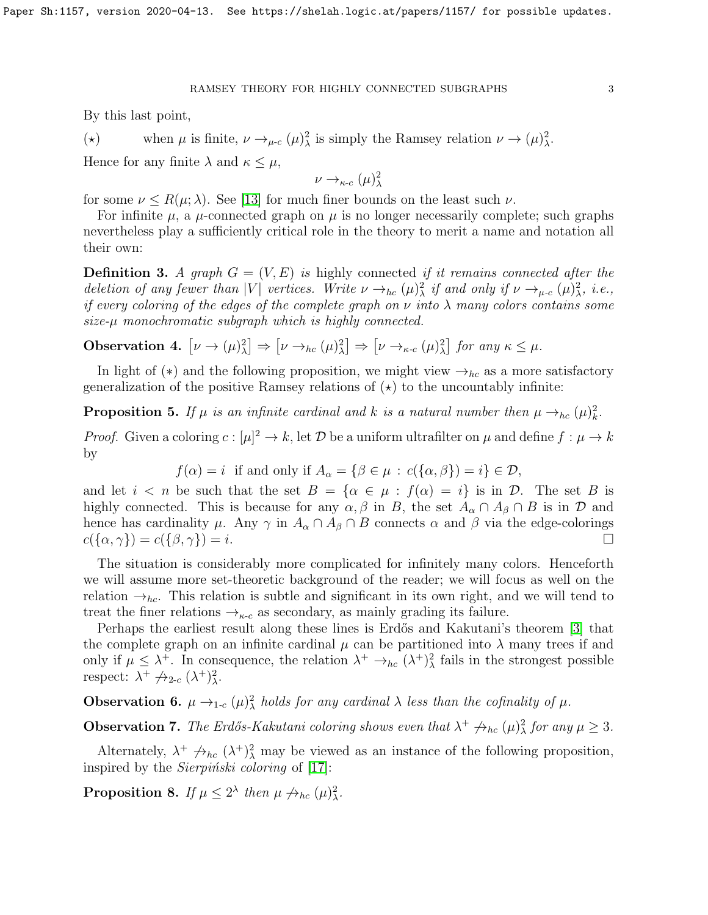By this last point,

(\*) when  $\mu$  is finite,  $\nu \rightarrow_{\mu-c} (\mu)^2_{\lambda}$  is simply the Ramsey relation  $\nu \rightarrow (\mu)^2_{\lambda}$ .

Hence for any finite  $\lambda$  and  $\kappa \leq \mu$ ,

$$
\nu\to_{\kappa\text{-}c}(\mu)^2_\lambda
$$

for some  $\nu \le R(\mu; \lambda)$ . See [\[13\]](#page-11-3) for much finer bounds on the least such  $\nu$ .

For infinite  $\mu$ , a  $\mu$ -connected graph on  $\mu$  is no longer necessarily complete; such graphs nevertheless play a sufficiently critical role in the theory to merit a name and notation all their own:

**Definition 3.** A graph  $G = (V, E)$  is highly connected if it remains connected after the deletion of any fewer than |V| vertices. Write  $\nu \rightarrow_{hc} (\mu)^2_{\lambda}$  if and only if  $\nu \rightarrow_{\mu-c} (\mu)^2_{\lambda}$ , i.e., if every coloring of the edges of the complete graph on  $\nu$  into  $\lambda$  many colors contains some size-µ monochromatic subgraph which is highly connected.

<span id="page-2-1"></span>**Observation 4.**  $[\nu \to (\mu)^2_\lambda] \Rightarrow [\nu \to_{hc} (\mu)^2_\lambda] \Rightarrow [\nu \to_{\kappa \text{-} c} (\mu)^2_\lambda]$  for any  $\kappa \leq \mu$ .

In light of (\*) and the following proposition, we might view  $\rightarrow_{hc}$  as a more satisfactory generalization of the positive Ramsey relations of  $(\star)$  to the uncountably infinite:

**Proposition 5.** If  $\mu$  is an infinite cardinal and k is a natural number then  $\mu \rightarrow_{hc} (\mu)_k^2$ .

*Proof.* Given a coloring  $c : [\mu]^2 \to k$ , let D be a uniform ultrafilter on  $\mu$  and define  $f : \mu \to k$ by

 $f(\alpha) = i$  if and only if  $A_{\alpha} = \{ \beta \in \mu : c(\{\alpha, \beta\}) = i \} \in \mathcal{D}$ ,

and let  $i < n$  be such that the set  $B = {\alpha \in \mu : f(\alpha) = i}$  is in  $D$ . The set B is highly connected. This is because for any  $\alpha, \beta$  in B, the set  $A_{\alpha} \cap A_{\beta} \cap B$  is in D and hence has cardinality  $\mu$ . Any  $\gamma$  in  $A_{\alpha} \cap A_{\beta} \cap B$  connects  $\alpha$  and  $\beta$  via the edge-colorings  $c(\{\alpha,\gamma\}) = c(\{\beta,\gamma\}) = i.$ 

The situation is considerably more complicated for infinitely many colors. Henceforth we will assume more set-theoretic background of the reader; we will focus as well on the relation  $\rightarrow_{hc}$ . This relation is subtle and significant in its own right, and we will tend to treat the finer relations  $\rightarrow_{\kappa-c}$  as secondary, as mainly grading its failure.

Perhaps the earliest result along these lines is Erdős and Kakutani's theorem [\[3\]](#page-10-7) that the complete graph on an infinite cardinal  $\mu$  can be partitioned into  $\lambda$  many trees if and only if  $\mu \leq \lambda^+$ . In consequence, the relation  $\lambda^+ \to_{hc} (\lambda^+)^2_{\lambda}$  fails in the strongest possible respect:  $\lambda^+ \nrightarrow_{2-c} (\lambda^+)_\lambda^2$ .

**Observation 6.**  $\mu \rightarrow_{1-c} (\mu)^2_{\lambda}$  holds for any cardinal  $\lambda$  less than the cofinality of  $\mu$ .

**Observation 7.** The Erdős-Kakutani coloring shows even that  $\lambda^+ \nrightarrow_{hc} (\mu)^2$  for any  $\mu \geq 3$ .

Alternately,  $\lambda^+ \nrightarrow_{hc} (\lambda^+)_\lambda^2$  may be viewed as an instance of the following proposition, inspired by the *Sierpiński coloring* of  $[17]$ :

<span id="page-2-0"></span>**Proposition 8.** If  $\mu \leq 2^{\lambda}$  then  $\mu \nrightarrow_{hc} (\mu)^2_{\lambda}$ .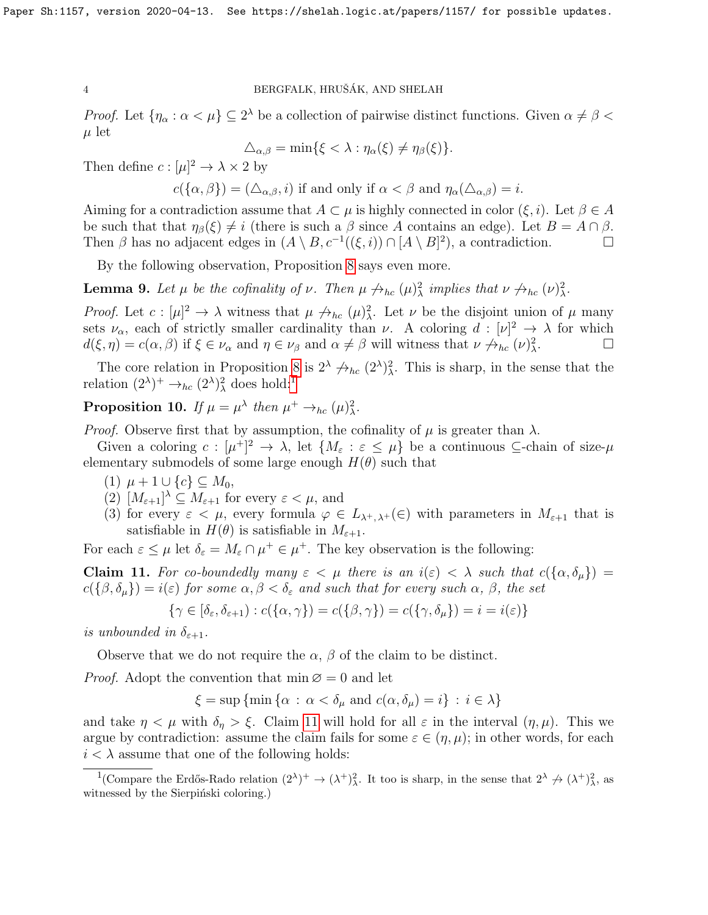*Proof.* Let  $\{\eta_\alpha : \alpha < \mu\} \subseteq 2^\lambda$  be a collection of pairwise distinct functions. Given  $\alpha \neq \beta <$  $\mu$  let

$$
\Delta_{\alpha,\beta} = \min\{\xi < \lambda : \eta_\alpha(\xi) \neq \eta_\beta(\xi)\}.
$$

Then define  $c: [\mu]^2 \to \lambda \times 2$  by

 $c(\{\alpha,\beta\})=(\Delta_{\alpha,\beta},i)$  if and only if  $\alpha<\beta$  and  $\eta_{\alpha}(\Delta_{\alpha,\beta})=i$ .

Aiming for a contradiction assume that  $A \subset \mu$  is highly connected in color  $(\xi, i)$ . Let  $\beta \in A$ be such that that  $\eta_{\beta}(\xi) \neq i$  (there is such a  $\beta$  since A contains an edge). Let  $B = A \cap \beta$ . Then  $\beta$  has no adjacent edges in  $(A \setminus B, c^{-1}((\xi, i)) \cap [A \setminus B]^2)$ , a contradiction.

By the following observation, Proposition [8](#page-2-0) says even more.

<span id="page-3-2"></span>**Lemma 9.** Let  $\mu$  be the cofinality of  $\nu$ . Then  $\mu \nrightarrow_{hc} (\mu)^2_{\lambda}$  implies that  $\nu \nrightarrow_{hc} (\nu)^2_{\lambda}$ .

*Proof.* Let  $c : [\mu]^2 \to \lambda$  witness that  $\mu \nleftrightarrow_{hc} (\mu)^2$ . Let  $\nu$  be the disjoint union of  $\mu$  many sets  $\nu_{\alpha}$ , each of strictly smaller cardinality than  $\nu$ . A coloring  $d : [\nu]^2 \to \lambda$  for which  $d(\xi, \eta) = c(\alpha, \beta)$  if  $\xi \in \nu_{\alpha}$  and  $\eta \in \nu_{\beta}$  and  $\alpha \neq \beta$  will witness that  $\nu \nrightarrow_{hc} (\nu)^2_{\lambda}$ . — П

The core relation in Proposition [8](#page-2-0) is  $2^{\lambda} \not\rightarrow_{hc} (2^{\lambda})^2_{\lambda}$ . This is sharp, in the sense that the relation  $(2^{\lambda})^+ \rightarrow_{hc} (2^{\lambda})^2_{\lambda}$  does hold:<sup>[1](#page-3-0)</sup>

<span id="page-3-3"></span>**Proposition 10.** If  $\mu = \mu^{\lambda}$  then  $\mu^+ \rightarrow_{hc} (\mu)^2_{\lambda}$ .

*Proof.* Observe first that by assumption, the cofinality of  $\mu$  is greater than  $\lambda$ .

Given a coloring  $c: [\mu^+]^2 \to \lambda$ , let  $\{M_\varepsilon : \varepsilon \leq \mu\}$  be a continuous  $\subseteq$ -chain of size- $\mu$ elementary submodels of some large enough  $H(\theta)$  such that

- (1)  $\mu + 1 \cup \{c\} \subseteq M_0$ ,
- (2)  $[M_{\varepsilon+1}]^{\lambda} \subseteq M_{\varepsilon+1}$  for every  $\varepsilon < \mu$ , and
- (3) for every  $\varepsilon < \mu$ , every formula  $\varphi \in L_{\lambda^+, \lambda^+}(\in)$  with parameters in  $M_{\varepsilon+1}$  that is satisfiable in  $H(\theta)$  is satisfiable in  $M_{\epsilon+1}$ .

For each  $\varepsilon \leq \mu$  let  $\delta_{\varepsilon} = M_{\varepsilon} \cap \mu^+ \in \mu^+$ . The key observation is the following:

<span id="page-3-1"></span>Claim 11. For co-boundedly many  $\varepsilon < \mu$  there is an  $i(\varepsilon) < \lambda$  such that  $c(\{\alpha, \delta_\mu\}) =$  $c(\{\beta,\delta_\mu\})=i(\varepsilon)$  for some  $\alpha,\beta<\delta_\varepsilon$  and such that for every such  $\alpha,\beta$ , the set

$$
\{\gamma \in [\delta_{\varepsilon}, \delta_{\varepsilon+1}) : c(\{\alpha, \gamma\}) = c(\{\beta, \gamma\}) = c(\{\gamma, \delta_{\mu}\}) = i = i(\varepsilon)\}
$$

is unbounded in  $\delta_{\varepsilon+1}$ .

Observe that we do not require the  $\alpha$ ,  $\beta$  of the claim to be distinct.

*Proof.* Adopt the convention that  $\min \emptyset = 0$  and let

 $\xi = \sup \{\min \{\alpha : \alpha < \delta_{\mu} \text{ and } c(\alpha, \delta_{\mu}) = i\} : i \in \lambda\}$ 

and take  $\eta < \mu$  with  $\delta_{\eta} > \xi$ . Claim [11](#page-3-1) will hold for all  $\varepsilon$  in the interval  $(\eta, \mu)$ . This we argue by contradiction: assume the claim fails for some  $\varepsilon \in (\eta, \mu)$ ; in other words, for each  $i < \lambda$  assume that one of the following holds:

<span id="page-3-0"></span><sup>&</sup>lt;sup>1</sup>(Compare the Erdős-Rado relation  $(2^{\lambda})^+ \to (\lambda^+)^2_{\lambda}$ . It too is sharp, in the sense that  $2^{\lambda} \not\to (\lambda^+)^2_{\lambda}$ , as witnessed by the Sierpiński coloring.)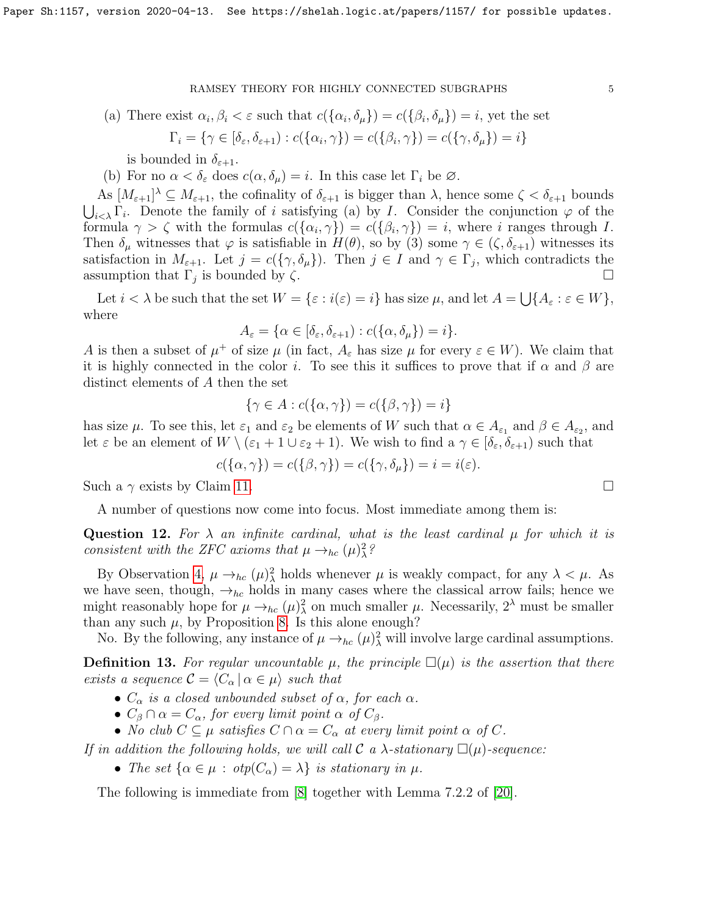(a) There exist  $\alpha_i, \beta_i < \varepsilon$  such that  $c(\{\alpha_i, \delta_\mu\}) = c(\{\beta_i, \delta_\mu\}) = i$ , yet the set

$$
\Gamma_i = \{ \gamma \in [\delta_{\varepsilon}, \delta_{\varepsilon+1}) : c(\{\alpha_i, \gamma\}) = c(\{\beta_i, \gamma\}) = c(\{\gamma, \delta_\mu\}) = i \}
$$

is bounded in  $\delta_{\varepsilon+1}$ .

(b) For no  $\alpha < \delta_{\varepsilon}$  does  $c(\alpha, \delta_{\mu}) = i$ . In this case let  $\Gamma_i$  be  $\varnothing$ .

As  $[M_{\varepsilon+1}]^{\lambda} \subseteq M_{\varepsilon+1}$ , the cofinality of  $\delta_{\varepsilon+1}$  is bigger than  $\lambda$ , hence some  $\zeta < \delta_{\varepsilon+1}$  bounds  $\bigcup_{i\leq \lambda} \Gamma_i$ . Denote the family of i satisfying (a) by I. Consider the conjunction  $\varphi$  of the formula  $\gamma > \zeta$  with the formulas  $c(\{\alpha_i, \gamma\}) = c(\{\beta_i, \gamma\}) = i$ , where i ranges through I. Then  $\delta_{\mu}$  witnesses that  $\varphi$  is satisfiable in  $H(\theta)$ , so by (3) some  $\gamma \in (\zeta, \delta_{\varepsilon+1})$  witnesses its satisfaction in  $M_{\varepsilon+1}$ . Let  $j = c(\{\gamma, \delta_\mu\})$ . Then  $j \in I$  and  $\gamma \in \Gamma_j$ , which contradicts the assumption that  $\Gamma_j$  is bounded by  $\zeta$ .

Let  $i < \lambda$  be such that the set  $W = \{\varepsilon : i(\varepsilon) = i\}$  has size  $\mu$ , and let  $A = \bigcup \{A_{\varepsilon} : \varepsilon \in W\},$ where

$$
A_{\varepsilon} = \{ \alpha \in [\delta_{\varepsilon}, \delta_{\varepsilon + 1}) : c(\{\alpha, \delta_{\mu}\}) = i \}.
$$

A is then a subset of  $\mu^+$  of size  $\mu$  (in fact,  $A_\varepsilon$  has size  $\mu$  for every  $\varepsilon \in W$ ). We claim that it is highly connected in the color i. To see this it suffices to prove that if  $\alpha$  and  $\beta$  are distinct elements of A then the set

$$
\{\gamma \in A : c(\{\alpha, \gamma\}) = c(\{\beta, \gamma\}) = i\}
$$

has size  $\mu$ . To see this, let  $\varepsilon_1$  and  $\varepsilon_2$  be elements of W such that  $\alpha \in A_{\varepsilon_1}$  and  $\beta \in A_{\varepsilon_2}$ , and let  $\varepsilon$  be an element of  $W \setminus (\varepsilon_1 + 1 \cup \varepsilon_2 + 1)$ . We wish to find  $a \gamma \in [\delta_{\varepsilon}, \delta_{\varepsilon+1})$  such that

$$
c(\{\alpha,\gamma\}) = c(\{\beta,\gamma\}) = c(\{\gamma,\delta_\mu\}) = i = i(\varepsilon).
$$

Such a  $\gamma$  exists by Claim [11.](#page-3-1)

A number of questions now come into focus. Most immediate among them is:

<span id="page-4-0"></span>Question 12. For  $\lambda$  an infinite cardinal, what is the least cardinal  $\mu$  for which it is consistent with the ZFC axioms that  $\mu \rightarrow_{hc} (\mu)^2$ ?

By Observation [4,](#page-2-1)  $\mu \rightarrow_{hc} (\mu)^2$  holds whenever  $\mu$  is weakly compact, for any  $\lambda < \mu$ . As we have seen, though,  $\rightarrow_{hc}$  holds in many cases where the classical arrow fails; hence we might reasonably hope for  $\mu \to_{hc} (\mu)^2_{\lambda}$  on much smaller  $\mu$ . Necessarily,  $2^{\lambda}$  must be smaller than any such  $\mu$ , by Proposition [8.](#page-2-0) Is this alone enough?

No. By the following, any instance of  $\mu \to_{hc} (\mu)^2$  will involve large cardinal assumptions.

**Definition 13.** For regular uncountable  $\mu$ , the principle  $\square(\mu)$  is the assertion that there exists a sequence  $\mathcal{C} = \langle C_{\alpha} | \alpha \in \mu \rangle$  such that

- $C_{\alpha}$  is a closed unbounded subset of  $\alpha$ , for each  $\alpha$ .
- $C_\beta \cap \alpha = C_\alpha$ , for every limit point  $\alpha$  of  $C_\beta$ .
- No club  $C \subseteq \mu$  satisfies  $C \cap \alpha = C_{\alpha}$  at every limit point  $\alpha$  of C.

If in addition the following holds, we will call  $\mathcal C$  a  $\lambda$ -stationary  $\square(\mu)$ -sequence:

• The set  $\{\alpha \in \mu : \text{otp}(C_{\alpha}) = \lambda\}$  is stationary in  $\mu$ .

The following is immediate from [\[8\]](#page-10-8) together with Lemma 7.2.2 of [\[20\]](#page-11-5).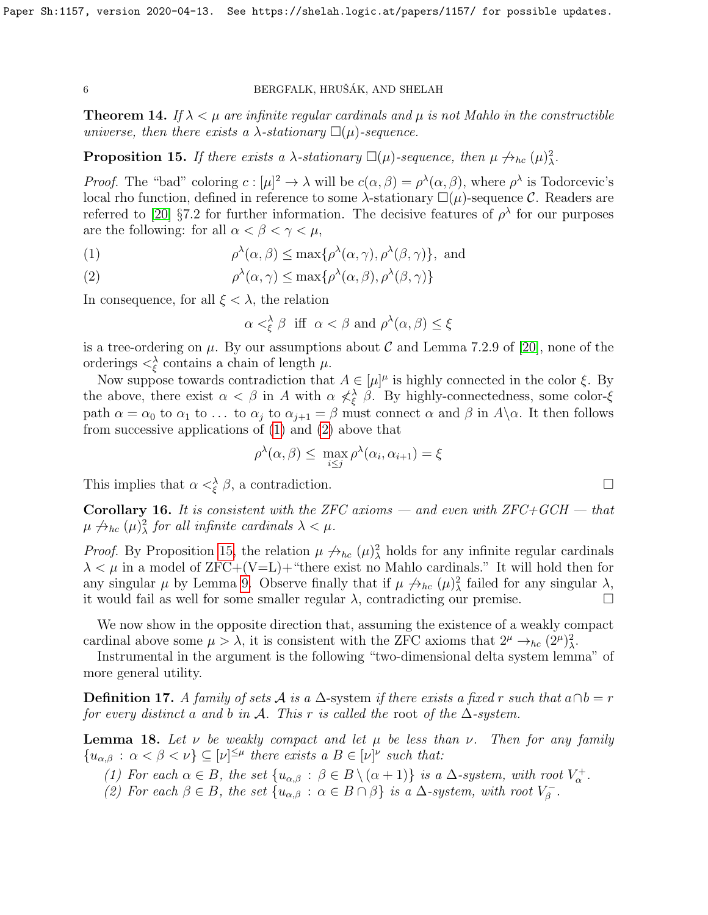**Theorem 14.** If  $\lambda < \mu$  are infinite regular cardinals and  $\mu$  is not Mahlo in the constructible universe, then there exists a  $\lambda$ -stationary  $\square(\mu)$ -sequence.

<span id="page-5-2"></span>**Proposition 15.** If there exists a  $\lambda$ -stationary  $\square(\mu)$ -sequence, then  $\mu \nrightarrow_{hc} (\mu)^2_{\lambda}$ .

*Proof.* The "bad" coloring  $c: [\mu]^2 \to \lambda$  will be  $c(\alpha, \beta) = \rho^{\lambda}(\alpha, \beta)$ , where  $\rho^{\lambda}$  is Todorcevic's local rho function, defined in reference to some  $\lambda$ -stationary  $\square(\mu)$ -sequence C. Readers are referred to [\[20\]](#page-11-5) §7.2 for further information. The decisive features of  $\rho^{\lambda}$  for our purposes are the following: for all  $\alpha < \beta < \gamma < \mu$ ,

<span id="page-5-0"></span>(1) 
$$
\rho^{\lambda}(\alpha,\beta) \leq \max\{\rho^{\lambda}(\alpha,\gamma),\rho^{\lambda}(\beta,\gamma)\}, \text{ and}
$$

<span id="page-5-1"></span>(2) 
$$
\rho^{\lambda}(\alpha,\gamma) \leq \max\{\rho^{\lambda}(\alpha,\beta),\rho^{\lambda}(\beta,\gamma)\}\
$$

In consequence, for all  $\xi < \lambda$ , the relation

$$
\alpha <^{\lambda}_{\xi} \beta \text{ iff } \alpha < \beta \text{ and } \rho^{\lambda}(\alpha, \beta) \leq \xi
$$

is a tree-ordering on  $\mu$ . By our assumptions about C and Lemma 7.2.9 of [\[20\]](#page-11-5), none of the orderings  $\langle \xi \rangle$  contains a chain of length  $\mu$ .

Now suppose towards contradiction that  $A \in [\mu]^{\mu}$  is highly connected in the color  $\xi$ . By the above, there exist  $\alpha < \beta$  in A with  $\alpha \nless \beta$ . By highly-connectedness, some color- $\xi$ path  $\alpha = \alpha_0$  to  $\alpha_1$  to ... to  $\alpha_j$  to  $\alpha_{j+1} = \beta$  must connect  $\alpha$  and  $\beta$  in  $A \setminus \alpha$ . It then follows from successive applications of [\(1\)](#page-5-0) and [\(2\)](#page-5-1) above that

$$
\rho^{\lambda}(\alpha,\beta) \leq \max_{i \leq j} \rho^{\lambda}(\alpha_i,\alpha_{i+1}) = \xi
$$

This implies that  $\alpha <^{\lambda}_{\xi} \beta$ , a contradiction.

**Corollary 16.** It is consistent with the ZFC axioms — and even with  $ZFC+GCH$  — that  $\mu \nrightarrow_{hc} (\mu)^2_{\lambda}$  for all infinite cardinals  $\lambda < \mu$ .

*Proof.* By Proposition [15,](#page-5-2) the relation  $\mu \nightharpoonup_{hc} (\mu)^2$  holds for any infinite regular cardinals  $\lambda < \mu$  in a model of ZFC+(V=L)+ "there exist no Mahlo cardinals." It will hold then for any singular  $\mu$  by Lemma [9.](#page-3-2) Observe finally that if  $\mu \nrightarrow_{hc} (\mu)^2_{\lambda}$  failed for any singular  $\lambda$ , it would fail as well for some smaller regular  $\lambda$ , contradicting our premise.

We now show in the opposite direction that, assuming the existence of a weakly compact cardinal above some  $\mu > \lambda$ , it is consistent with the ZFC axioms that  $2^{\mu} \rightarrow_{hc} (2^{\mu})_{\lambda}^2$ .

Instrumental in the argument is the following "two-dimensional delta system lemma" of more general utility.

**Definition 17.** A family of sets A is a  $\Delta$ -system if there exists a fixed r such that  $a \cap b = r$ for every distinct a and b in A. This r is called the root of the  $\Delta$ -system.

<span id="page-5-3"></span>**Lemma 18.** Let v be weakly compact and let  $\mu$  be less than v. Then for any family  ${u_{\alpha,\beta} : \alpha < \beta < \nu} \subseteq [\nu]^{\leq \mu}$  there exists  $a B \in [\nu]^{\nu}$  such that:

(1) For each  $\alpha \in B$ , the set  $\{u_{\alpha,\beta} : \beta \in B \setminus (\alpha + 1)\}\$ is a  $\Delta$ -system, with root  $V^+_{\alpha}$ .

(2) For each  $\beta \in B$ , the set  $\{u_{\alpha,\beta} : \alpha \in B \cap \beta\}$  is a  $\Delta$ -system, with root  $V_{\beta}^-$ ,<br>β.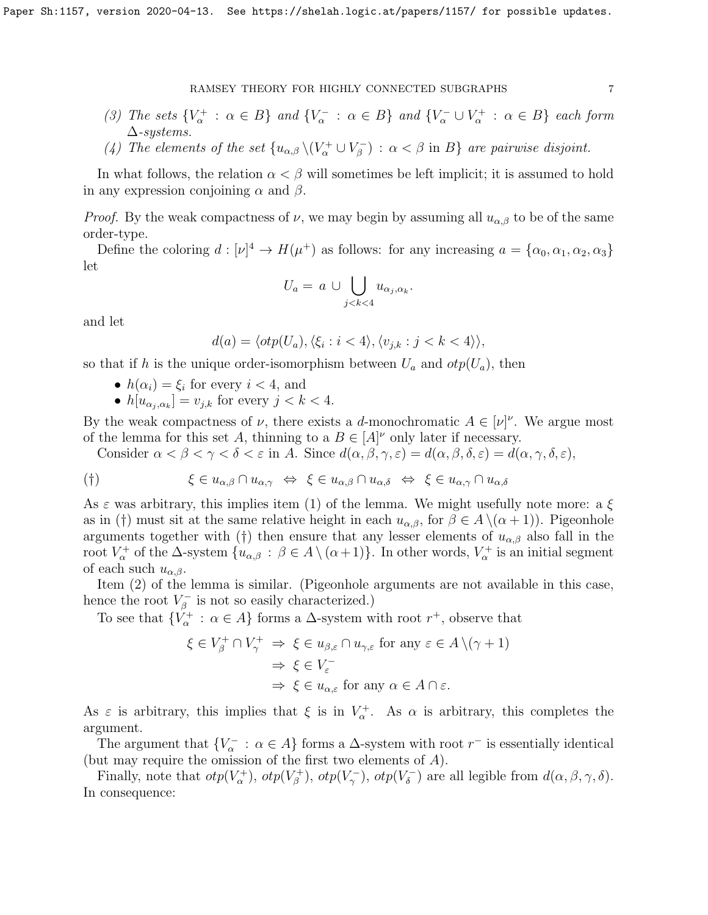- (3) The sets  $\{V_{\alpha}^+ : \alpha \in B\}$  and  $\{V_{\alpha}^- : \alpha \in B\}$  and  $\{V_{\alpha}^- \cup V_{\alpha}^+ : \alpha \in B\}$  each form  $\Delta$ -systems.
- (4) The elements of the set  $\{u_{\alpha,\beta}\setminus (V_\alpha^+\cup V_\beta^-)$  $\mathcal{E}_{\beta}^{-}$ ) :  $\alpha < \beta$  in  $B$ } are pairwise disjoint.

In what follows, the relation  $\alpha < \beta$  will sometimes be left implicit; it is assumed to hold in any expression conjoining  $\alpha$  and  $\beta$ .

*Proof.* By the weak compactness of  $\nu$ , we may begin by assuming all  $u_{\alpha,\beta}$  to be of the same order-type.

Define the coloring  $d: [\nu]^4 \to H(\mu^+)$  as follows: for any increasing  $a = {\alpha_0, \alpha_1, \alpha_2, \alpha_3}$ let

$$
U_a = a \cup \bigcup_{j < k < 4} u_{\alpha_j, \alpha_k}.
$$

and let

$$
d(a) = \langle otp(U_a), \langle \xi_i : i < 4 \rangle, \langle v_{j,k} : j < k < 4 \rangle \rangle,
$$

so that if h is the unique order-isomorphism between  $U_a$  and  $otp(U_a)$ , then

- $h(\alpha_i) = \xi_i$  for every  $i < 4$ , and
- $h[u_{\alpha_j,\alpha_k}] = v_{j,k}$  for every  $j < k < 4$ .

By the weak compactness of  $\nu$ , there exists a d-monochromatic  $A \in [\nu]^{\nu}$ . We argue most of the lemma for this set A, thinning to a  $B \in [A]^{\nu}$  only later if necessary.

Consider  $\alpha < \beta < \gamma < \delta < \varepsilon$  in A. Since  $d(\alpha, \beta, \gamma, \varepsilon) = d(\alpha, \beta, \delta, \varepsilon) = d(\alpha, \gamma, \delta, \varepsilon)$ ,

$$
(\dagger) \qquad \qquad \xi \in u_{\alpha,\beta} \cap u_{\alpha,\gamma} \iff \xi \in u_{\alpha,\beta} \cap u_{\alpha,\delta} \iff \xi \in u_{\alpha,\gamma} \cap u_{\alpha,\delta}
$$

As  $\varepsilon$  was arbitrary, this implies item (1) of the lemma. We might usefully note more: a  $\xi$ as in (†) must sit at the same relative height in each  $u_{\alpha,\beta}$ , for  $\beta \in A \setminus (\alpha + 1)$ . Pigeonhole arguments together with (†) then ensure that any lesser elements of  $u_{\alpha,\beta}$  also fall in the root  $V^+_\alpha$  of the  $\Delta$ -system  $\{u_{\alpha,\beta} : \beta \in A \setminus (\alpha+1)\}$ . In other words,  $V^+_\alpha$  is an initial segment of each such  $u_{\alpha,\beta}$ .

Item (2) of the lemma is similar. (Pigeonhole arguments are not available in this case, hence the root  $V_6^ \bar{\beta}$  is not so easily characterized.)

To see that  $\{V^+_{\alpha} : \alpha \in A\}$  forms a  $\Delta$ -system with root  $r^+$ , observe that

$$
\xi \in V_{\beta}^{+} \cap V_{\gamma}^{+} \Rightarrow \xi \in u_{\beta,\varepsilon} \cap u_{\gamma,\varepsilon} \text{ for any } \varepsilon \in A \setminus (\gamma + 1)
$$

$$
\Rightarrow \xi \in V_{\varepsilon}^{-}
$$

$$
\Rightarrow \xi \in u_{\alpha,\varepsilon} \text{ for any } \alpha \in A \cap \varepsilon.
$$

As  $\varepsilon$  is arbitrary, this implies that  $\xi$  is in  $V_{\alpha}^{+}$ . As  $\alpha$  is arbitrary, this completes the argument.

The argument that  $\{V_{\alpha}^- : \alpha \in A\}$  forms a  $\Delta$ -system with root  $r^-$  is essentially identical (but may require the omission of the first two elements of A).

Finally, note that  $otp(V_\alpha^+)$ ,  $otp(V_\beta^+)$ <sup>r+</sup>),  $otp(V_\gamma^-)$ ,  $otp(V_\delta^-)$  $\mathcal{J}_{\delta}^{-}$ ) are all legible from  $d(\alpha, \beta, \gamma, \delta)$ . In consequence: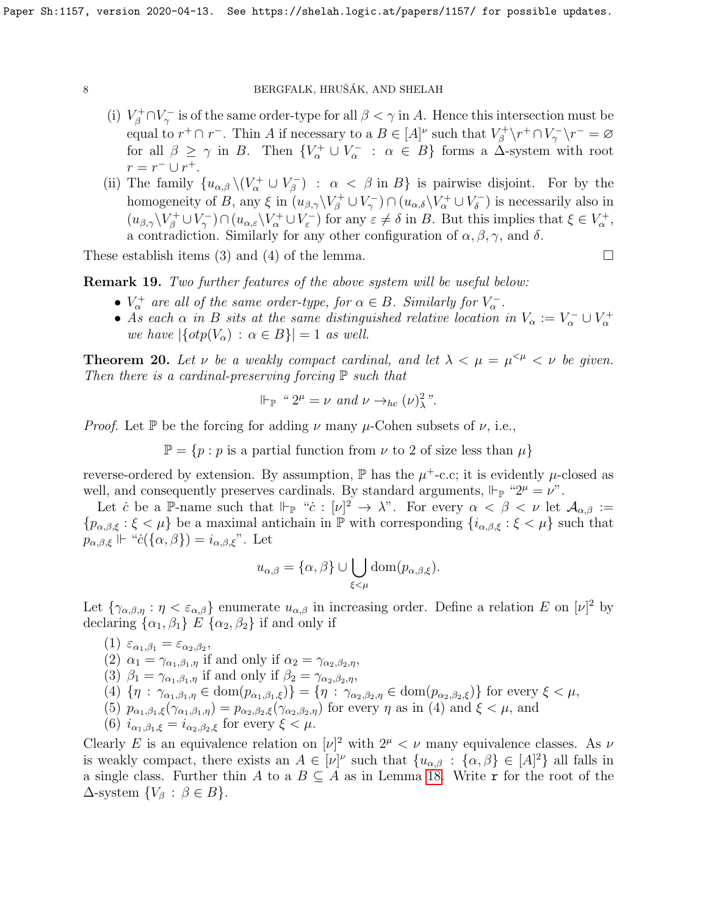- (i)  $V_\beta^+\cap V_\gamma^-$  is of the same order-type for all  $\beta<\gamma$  in A. Hence this intersection must be equal to  $r^+ \cap r^-$ . Thin A if necessary to a  $B \in [A]^{\nu}$  such that  $V^+_{\beta}$  $\chi_\beta^{++}\!\setminus\! r^+\cap V_\gamma^-\setminus\! r^-=\varnothing$ for all  $\beta \geq \gamma$  in B. Then  $\{V_{\alpha}^+ \cup V_{\alpha}^- : \alpha \in B\}$  forms a  $\Delta$ -system with root  $r = r^{-} \cup r^{+}.$
- (ii) The family  $\{u_{\alpha,\beta}\setminus (V_\alpha^+\cup V_\beta^-)$  $\binom{p}{\beta}$  :  $\alpha < \beta$  in  $B$  is pairwise disjoint. For by the homogeneity of B, any  $\xi$  in  $(u_{\beta,\gamma}\backslash V_\beta^+\cup V_\gamma^-)\cap (u_{\alpha,\delta}\backslash V_\alpha^+\cup V_\delta^-)$  $\binom{6}{\delta}$  is necessarily also in  $(u_{\beta,\gamma}\setminus V_\beta^+\cup V_\gamma^-)\cap(u_{\alpha,\varepsilon}\setminus V_\alpha^+\cup V_\varepsilon^-)$  for any  $\varepsilon\neq\delta$  in B. But this implies that  $\xi\in V_\alpha^+$ , a contradiction. Similarly for any other configuration of  $\alpha, \beta, \gamma$ , and  $\delta$ .

These establish items (3) and (4) of the lemma.  $\Box$ 

Remark 19. Two further features of the above system will be useful below:

- $V^+_{\alpha}$  are all of the same order-type, for  $\alpha \in B$ . Similarly for  $V^-_{\alpha}$ .
- As each  $\alpha$  in B sits at the same distinguished relative location in  $V_{\alpha} := V_{\alpha}^- \cup V_{\alpha}^+$ we have  $|\{otpV_{\alpha}) : \alpha \in B\}| = 1$  as well.

<span id="page-7-0"></span>**Theorem 20.** Let  $\nu$  be a weakly compact cardinal, and let  $\lambda < \mu = \mu^{<\mu} < \nu$  be given. Then there is a cardinal-preserving forcing  $\mathbb P$  such that

$$
\Vdash_{\mathbb{P}} \text{`` } 2^{\mu} = \nu \text{ and } \nu \rightarrow_{hc} (\nu)^{2}_{\lambda} \text{''}.
$$

*Proof.* Let P be the forcing for adding  $\nu$  many  $\mu$ -Cohen subsets of  $\nu$ , i.e.,

 $\mathbb{P} = \{p : p \text{ is a partial function from } \nu \text{ to } 2 \text{ of size less than } \mu\}$ 

reverse-ordered by extension. By assumption,  $\mathbb P$  has the  $\mu^+$ -c.c; it is evidently  $\mu$ -closed as well, and consequently preserves cardinals. By standard arguments,  $\Vdash_{\mathbb{P}}$  "2<sup> $\mu$ </sup> =  $\nu$ ".

Let c be a P-name such that  $\Vdash_{\mathbb{P}}$  "c :  $[\nu]^2 \to \lambda$ ". For every  $\alpha < \beta < \nu$  let  $\mathcal{A}_{\alpha,\beta}$  :=  ${p_{\alpha,\beta,\xi}:\xi<\mu}$  be a maximal antichain in  $\mathbb P$  with corresponding  ${i_{\alpha,\beta,\xi}:\xi<\mu}$  such that  $p_{\alpha,\beta,\xi} \Vdash "c(\{\alpha,\beta\}) = i_{\alpha,\beta,\xi}"$ . Let

$$
u_{\alpha,\beta} = {\alpha, \beta} \cup \bigcup_{\xi < \mu} dom(p_{\alpha,\beta,\xi}).
$$

Let  $\{\gamma_{\alpha,\beta,\eta} : \eta < \varepsilon_{\alpha,\beta}\}\$ enumerate  $u_{\alpha,\beta}$  in increasing order. Define a relation E on  $[\nu]^2$  by declaring  $\{\alpha_1, \beta_1\}$  E  $\{\alpha_2, \beta_2\}$  if and only if

(1)  $\varepsilon_{\alpha_1,\beta_1} = \varepsilon_{\alpha_2,\beta_2},$ 

(2)  $\alpha_1 = \gamma_{\alpha_1,\beta_1,\eta}$  if and only if  $\alpha_2 = \gamma_{\alpha_2,\beta_2,\eta}$ ,

(3) 
$$
\beta_1 = \gamma_{\alpha_1, \beta_1, \eta}
$$
 if and only if  $\beta_2 = \gamma_{\alpha_2, \beta_2, \eta}$ ,

$$
(4) \{\eta : \gamma_{\alpha_1,\beta_1,\eta} \in \text{dom}(p_{\alpha_1,\beta_1,\xi})\} = \{\eta : \gamma_{\alpha_2,\beta_2,\eta} \in \text{dom}(p_{\alpha_2,\beta_2,\xi})\} \text{ for every } \xi < \mu,
$$

(5)  $p_{\alpha_1,\beta_1,\xi}(\gamma_{\alpha_1,\beta_1,\eta}) = p_{\alpha_2,\beta_2,\xi}(\gamma_{\alpha_2,\beta_2,\eta})$  for every  $\eta$  as in (4) and  $\xi < \mu$ , and

(6)  $i_{\alpha_1,\beta_1,\xi} = i_{\alpha_2,\beta_2,\xi}$  for every  $\xi < \mu$ .

Clearly E is an equivalence relation on  $|\nu|^2$  with  $2^{\mu} < \nu$  many equivalence classes. As  $\nu$ is weakly compact, there exists an  $A \in [\nu]^{\nu}$  such that  $\{u_{\alpha,\beta} : {\{\alpha,\beta\}} \in [A]^2\}$  all falls in a single class. Further thin A to a  $B \subseteq A$  as in Lemma [18.](#page-5-3) Write r for the root of the  $\Delta$ -system  $\{V_\beta : \beta \in B\}.$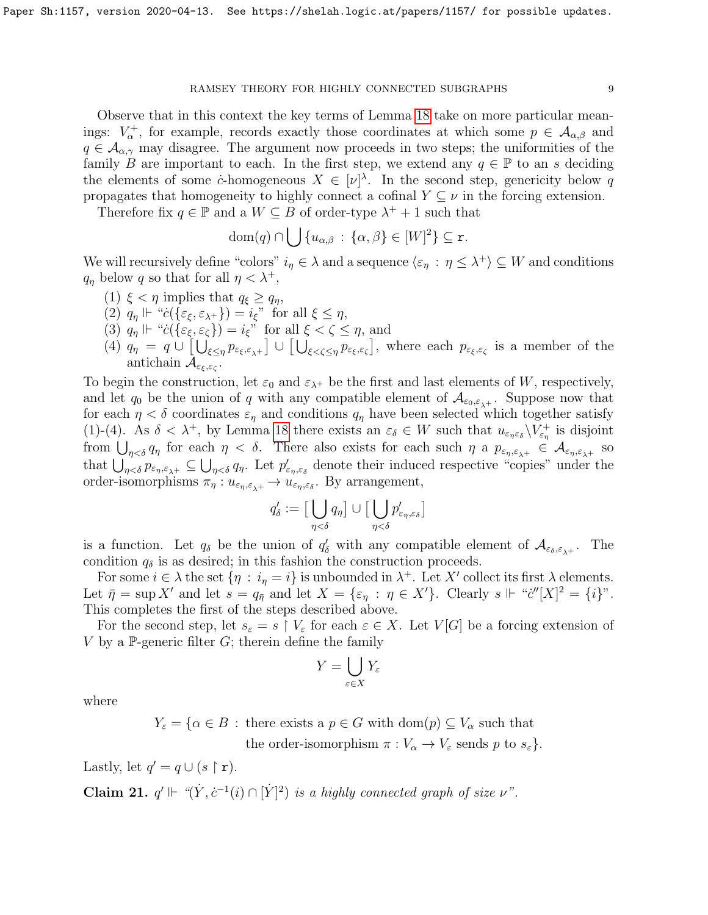Observe that in this context the key terms of Lemma [18](#page-5-3) take on more particular meanings:  $V^+_{\alpha}$ , for example, records exactly those coordinates at which some  $p \in \mathcal{A}_{\alpha,\beta}$  and  $q \in \mathcal{A}_{\alpha,\gamma}$  may disagree. The argument now proceeds in two steps; the uniformities of the family B are important to each. In the first step, we extend any  $q \in \mathbb{P}$  to an s deciding the elements of some *c*-homogeneous  $X \in [\nu]^{\lambda}$ . In the second step, genericity below q propagates that homogeneity to highly connect a cofinal  $Y \subseteq \nu$  in the forcing extension.

Therefore fix  $q \in \mathbb{P}$  and a  $W \subseteq B$  of order-type  $\lambda^+ + 1$  such that

$$
\text{dom}(q) \cap \bigcup \{u_{\alpha,\beta} \,:\, \{\alpha,\beta\} \in [W]^2\} \subseteq \mathbf{r}.
$$

We will recursively define "colors"  $i_{\eta} \in \lambda$  and a sequence  $\langle \varepsilon_{\eta} : \eta \leq \lambda^+ \rangle \subseteq W$  and conditions  $q_{\eta}$  below q so that for all  $\eta < \lambda^{+}$ ,

- (1)  $\xi < \eta$  implies that  $q_{\xi} \geq q_{\eta}$ ,
- (2)  $q_{\eta} \Vdash "c(\{\varepsilon_{\xi}, \varepsilon_{\lambda^+}\}) = i_{\xi}"$  for all  $\xi \leq \eta$ ,
- (3)  $q_{\eta} \Vdash "c(\{\varepsilon_{\xi}, \varepsilon_{\zeta}\}) = i_{\xi}$ " for all  $\xi < \zeta \leq \eta$ , and
- (4)  $q_{\eta} = q \cup \left[ \bigcup_{\xi \leq \eta} p_{\varepsilon_{\xi},\varepsilon_{\lambda}+} \right] \cup \left[ \bigcup_{\xi < \zeta \leq \eta} p_{\varepsilon_{\xi},\varepsilon_{\zeta}} \right]$ , where each  $p_{\varepsilon_{\xi},\varepsilon_{\zeta}}$  is a member of the antichain  $\mathcal{A}_{\varepsilon_{\xi},\varepsilon_{\zeta}}$ .

To begin the construction, let  $\varepsilon_0$  and  $\varepsilon_{\lambda+}$  be the first and last elements of W, respectively, and let  $q_0$  be the union of q with any compatible element of  $\mathcal{A}_{\varepsilon_0,\varepsilon_{\lambda^+}}$ . Suppose now that for each  $\eta < \delta$  coordinates  $\varepsilon_{\eta}$  and conditions  $q_{\eta}$  have been selected which together satisfy (1)-(4). As  $\delta < \lambda^+$ , by Lemma [18](#page-5-3) there exists an  $\varepsilon_{\delta} \in W$  such that  $u_{\varepsilon_{\eta} \varepsilon_{\delta}} \setminus V_{\varepsilon_{\eta}}^+$  is disjoint from  $\bigcup_{\eta<\delta} q_\eta$  for each  $\eta<\delta$ . There also exists for each such  $\eta$  a  $p_{\varepsilon_\eta,\varepsilon_{\lambda^+}}\in\mathcal{A}_{\varepsilon_\eta,\varepsilon_{\lambda^+}}$  so that  $\bigcup_{\eta<\delta} p_{\varepsilon_\eta,\varepsilon_{\lambda^+}} \subseteq \bigcup_{\eta<\delta} q_\eta$ . Let  $p'_{\varepsilon_\eta,\varepsilon_{\delta}}$  denote their induced respective "copies" under the order-isomorphisms  $\pi_{\eta}: u_{\varepsilon_{\eta}, \varepsilon_{\lambda^+}} \to u_{\varepsilon_{\eta}, \varepsilon_{\delta}}$ . By arrangement,

$$
q'_\delta := \big[\bigcup_{\eta < \delta} q_\eta \big] \cup \big[\bigcup_{\eta < \delta} p'_{\varepsilon_\eta, \varepsilon_\delta}\big]
$$

is a function. Let  $q_\delta$  be the union of  $q'_\delta$  with any compatible element of  $\mathcal{A}_{\varepsilon_\delta,\varepsilon_{\lambda^+}}$ . The condition  $q_{\delta}$  is as desired; in this fashion the construction proceeds.

For some  $i \in \lambda$  the set  $\{\eta : i_{\eta} = i\}$  is unbounded in  $\lambda^{+}$ . Let X' collect its first  $\lambda$  elements. Let  $\bar{\eta} = \sup X'$  and let  $s = q_{\bar{\eta}}$  and let  $X = {\varepsilon_{\eta} : \eta \in X'}$ . Clearly  $s \Vdash "c''[X]^2 = {\iota}$ ". This completes the first of the steps described above.

For the second step, let  $s_{\varepsilon} = s \restriction V_{\varepsilon}$  for each  $\varepsilon \in X$ . Let  $V[G]$  be a forcing extension of V by a P-generic filter  $G$ ; therein define the family

$$
Y = \bigcup_{\varepsilon \in X} Y_{\varepsilon}
$$

where

 $Y_{\varepsilon} = {\alpha \in B : \text{there exists a } p \in G \text{ with } \text{dom}(p) \subseteq V_{\alpha} \text{ such that }}$ the order-isomorphism  $\pi : V_{\alpha} \to V_{\varepsilon}$  sends p to  $s_{\varepsilon}$ .

Lastly, let  $q' = q \cup (s \restriction r)$ .

<span id="page-8-0"></span>**Claim 21.**  $q' \Vdash \langle (Y, c^{-1}(i) \cap [Y]^2) \rangle$  is a highly connected graph of size  $\nu$ ".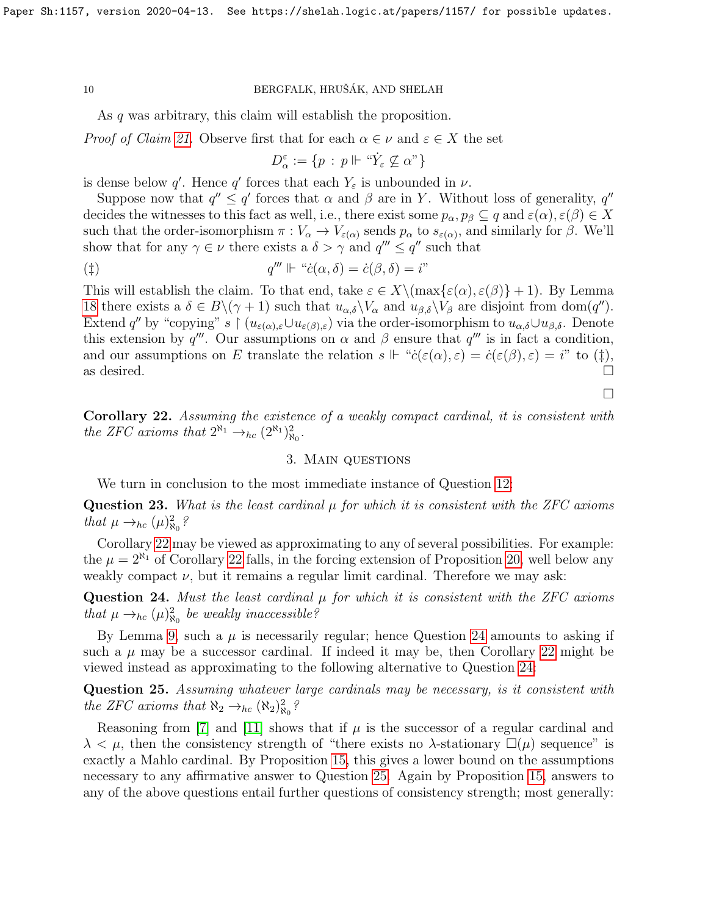As q was arbitrary, this claim will establish the proposition.

*Proof of Claim [21.](#page-8-0)* Observe first that for each  $\alpha \in \nu$  and  $\varepsilon \in X$  the set

$$
D_\alpha^\varepsilon:=\{p\,:\,p\Vdash\ ^\omega\!\dot Y_\varepsilon\not\subseteq\alpha"\}
$$

is dense below q'. Hence q' forces that each  $Y_{\varepsilon}$  is unbounded in  $\nu$ .

Suppose now that  $q'' \leq q'$  forces that  $\alpha$  and  $\beta$  are in Y. Without loss of generality,  $q''$ decides the witnesses to this fact as well, i.e., there exist some  $p_{\alpha}, p_{\beta} \subseteq q$  and  $\varepsilon(\alpha), \varepsilon(\beta) \in X$ such that the order-isomorphism  $\pi : V_\alpha \to V_{\varepsilon(\alpha)}$  sends  $p_\alpha$  to  $s_{\varepsilon(\alpha)}$ , and similarly for  $\beta$ . We'll show that for any  $\gamma \in \nu$  there exists a  $\delta > \gamma$  and  $q''' \leq q''$  such that

$$
q''' \Vdash ``\dot{c}(\alpha, \delta) = \dot{c}(\beta, \delta) = i"
$$

This will establish the claim. To that end, take  $\varepsilon \in X \setminus (\max\{\varepsilon(\alpha), \varepsilon(\beta)\} + 1)$ . By Lemma [18](#page-5-3) there exists a  $\delta \in B \setminus (\gamma + 1)$  such that  $u_{\alpha,\delta} \setminus V_\alpha$  and  $u_{\beta,\delta} \setminus V_\beta$  are disjoint from dom(q''). Extend q'' by "copying" s  $\mid (u_{\varepsilon(\alpha),\varepsilon}\cup u_{\varepsilon(\beta),\varepsilon})$  via the order-isomorphism to  $u_{\alpha,\delta}\cup u_{\beta,\delta}$ . Denote this extension by q'''. Our assumptions on  $\alpha$  and  $\beta$  ensure that q''' is in fact a condition, and our assumptions on E translate the relation  $s \Vdash "c(\varepsilon(\alpha), \varepsilon) = \dot{c}(\varepsilon(\beta), \varepsilon) = i"$  to (†), as desired.  $\Box$ 

<span id="page-9-0"></span>Corollary 22. Assuming the existence of a weakly compact cardinal, it is consistent with the ZFC axioms that  $2^{\aleph_1} \rightarrow_{hc} (2^{\aleph_1})^2_{\aleph_0}$ .

#### 3. Main questions

We turn in conclusion to the most immediate instance of Question [12:](#page-4-0)

Question 23. What is the least cardinal  $\mu$  for which it is consistent with the ZFC axioms that  $\mu \rightarrow_{hc} (\mu)^2_{\aleph_0}$ ?

Corollary [22](#page-9-0) may be viewed as approximating to any of several possibilities. For example: the  $\mu = 2^{\aleph_1}$  of Corollary [22](#page-9-0) falls, in the forcing extension of Proposition [20,](#page-7-0) well below any weakly compact  $\nu$ , but it remains a regular limit cardinal. Therefore we may ask:

<span id="page-9-1"></span>Question 24. Must the least cardinal  $\mu$  for which it is consistent with the ZFC axioms that  $\mu \rightarrow_{hc} (\mu)^2_{\aleph_0}$  be weakly inaccessible?

By Lemma [9,](#page-3-2) such a  $\mu$  is necessarily regular; hence Question [24](#page-9-1) amounts to asking if such a  $\mu$  may be a successor cardinal. If indeed it may be, then Corollary [22](#page-9-0) might be viewed instead as approximating to the following alternative to Question [24:](#page-9-1)

<span id="page-9-2"></span>Question 25. Assuming whatever large cardinals may be necessary, is it consistent with the ZFC axioms that  $\aleph_2 \rightarrow_{hc} (\aleph_2)^2_{\aleph_0}$ ?

Reasoning from [\[7\]](#page-10-9) and [\[11\]](#page-10-10) shows that if  $\mu$  is the successor of a regular cardinal and  $\lambda < \mu$ , then the consistency strength of "there exists no  $\lambda$ -stationary  $\square(\mu)$  sequence" is exactly a Mahlo cardinal. By Proposition [15,](#page-5-2) this gives a lower bound on the assumptions necessary to any affirmative answer to Question [25.](#page-9-2) Again by Proposition [15,](#page-5-2) answers to any of the above questions entail further questions of consistency strength; most generally:

 $\Box$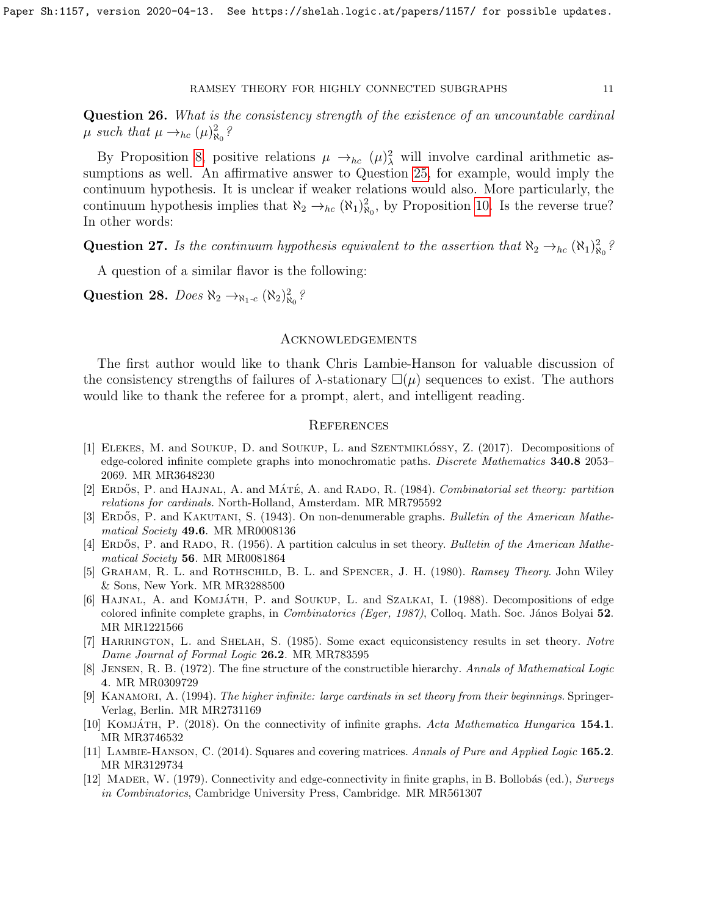Question 26. What is the consistency strength of the existence of an uncountable cardinal  $\mu$  such that  $\mu \rightarrow_{hc} (\mu)^2_{\aleph_0}$ ?

By Proposition [8,](#page-2-0) positive relations  $\mu \to_{hc} (\mu)^2$  will involve cardinal arithmetic assumptions as well. An affirmative answer to Question [25,](#page-9-2) for example, would imply the continuum hypothesis. It is unclear if weaker relations would also. More particularly, the continuum hypothesis implies that  $\aleph_2 \to_{hc} (\aleph_1)^2_{\aleph_0}$ , by Proposition [10.](#page-3-3) Is the reverse true? In other words:

Question 27. Is the continuum hypothesis equivalent to the assertion that  $\aleph_2 \rightarrow_{hc} (\aleph_1)_{\aleph_0}^2$ ?

A question of a similar flavor is the following:

Question 28. Does  $\aleph_2 \rightarrow_{\aleph_1-c} (\aleph_2)^2_{\aleph_0}$ ?

## Acknowledgements

The first author would like to thank Chris Lambie-Hanson for valuable discussion of the consistency strengths of failures of  $\lambda$ -stationary  $\square(\mu)$  sequences to exist. The authors would like to thank the referee for a prompt, alert, and intelligent reading.

## **REFERENCES**

- <span id="page-10-5"></span>[1] ELEKES, M. and SOUKUP, D. and SOUKUP, L. and SZENTMIKLÓSSY, Z. (2017). Decompositions of edge-colored infinite complete graphs into monochromatic paths. Discrete Mathematics 340.8 2053– 2069. MR MR3648230
- [2] ERDOS, P. and HAJNAL, A. and MATÉ, A. and RADO, R. (1984). Combinatorial set theory: partition relations for cardinals. North-Holland, Amsterdam. MR MR795592
- <span id="page-10-7"></span>[3] ERDOS, P. and KAKUTANI, S. (1943). On non-denumerable graphs. Bulletin of the American Mathematical Society 49.6. MR MR0008136
- <span id="page-10-2"></span>[4] ERDOS, P. and RADO, R. (1956). A partition calculus in set theory. Bulletin of the American Mathematical Society 56. MR MR0081864
- <span id="page-10-0"></span>[5] GRAHAM, R. L. and ROTHSCHILD, B. L. and SPENCER, J. H. (1980). Ramsey Theory. John Wiley & Sons, New York. MR MR3288500
- <span id="page-10-4"></span>[6] HAJNAL, A. and KOMJÁTH, P. and SOUKUP, L. and SZALKAI, I. (1988). Decompositions of edge colored infinite complete graphs, in *Combinatorics (Eger, 1987)*, Colloq. Math. Soc. János Bolyai 52. MR MR1221566
- <span id="page-10-9"></span>[7] HARRINGTON, L. and SHELAH, S. (1985). Some exact equiconsistency results in set theory. Notre Dame Journal of Formal Logic 26.2. MR MR783595
- <span id="page-10-8"></span>[8] Jensen, R. B. (1972). The fine structure of the constructible hierarchy. Annals of Mathematical Logic 4. MR MR0309729
- <span id="page-10-1"></span>[9] KANAMORI, A. (1994). The higher infinite: large cardinals in set theory from their beginnings. Springer-Verlag, Berlin. MR MR2731169
- <span id="page-10-6"></span>[10] KOMJÁTH, P. (2018). On the connectivity of infinite graphs. Acta Mathematica Hungarica 154.1. MR MR3746532
- <span id="page-10-10"></span>[11] LAMBIE-HANSON, C. (2014). Squares and covering matrices. Annals of Pure and Applied Logic 165.2. MR MR3129734
- <span id="page-10-3"></span>[12] MADER, W. (1979). Connectivity and edge-connectivity in finite graphs, in B. Bollobás (ed.), Surveys in Combinatorics, Cambridge University Press, Cambridge. MR MR561307